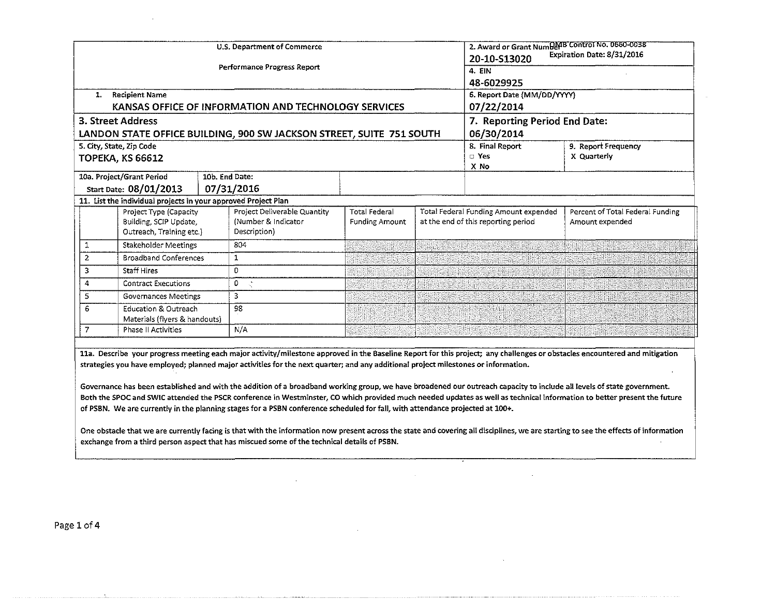| 1.                                             | <b>Recipient Name</b><br><b>3. Street Address</b>                                                                                              |                              | U.S. Department of Commerce<br>Performance Progress Report<br>KANSAS OFFICE OF INFORMATION AND TECHNOLOGY SERVICES                                                                                                                                                  |                                               |                                                                              | 2. Award or Grant NumDerB Control No. 0660-0038<br>20-10-S13020<br>4. EIN<br>48-6029925<br>6. Report Date (MM/DD/YYYY)<br>07/22/2014<br>7. Reporting Period End Date: | Expiration Date: 8/31/2016                                                                                                                                                                                                                                                                                                                                                                                                                                                                                                      |
|------------------------------------------------|------------------------------------------------------------------------------------------------------------------------------------------------|------------------------------|---------------------------------------------------------------------------------------------------------------------------------------------------------------------------------------------------------------------------------------------------------------------|-----------------------------------------------|------------------------------------------------------------------------------|-----------------------------------------------------------------------------------------------------------------------------------------------------------------------|---------------------------------------------------------------------------------------------------------------------------------------------------------------------------------------------------------------------------------------------------------------------------------------------------------------------------------------------------------------------------------------------------------------------------------------------------------------------------------------------------------------------------------|
|                                                | 5. City, State, Zip Code<br><b>TOPEKA, KS 66612</b>                                                                                            |                              | LANDON STATE OFFICE BUILDING, 900 SW JACKSON STREET, SUITE 751 SOUTH                                                                                                                                                                                                |                                               |                                                                              | 06/30/2014<br>8. Final Report<br>$\square$ Yes<br>X No                                                                                                                | 9. Report Frequency<br>X Quarterly                                                                                                                                                                                                                                                                                                                                                                                                                                                                                              |
|                                                | 10a. Project/Grant Period<br>Start Date: 08/01/2013                                                                                            | 10b. End Date:<br>07/31/2016 |                                                                                                                                                                                                                                                                     |                                               |                                                                              |                                                                                                                                                                       |                                                                                                                                                                                                                                                                                                                                                                                                                                                                                                                                 |
|                                                | 11. List the individual projects in your approved Project Plan<br>Project Type (Capacity<br>Building, SCIP Update,<br>Outreach, Training etc.) |                              | Project Deliverable Quantity<br>(Number & Indicator<br>Description)                                                                                                                                                                                                 | <b>Total Federal</b><br><b>Funding Amount</b> | Total Federal Funding Amount expended<br>at the end of this reporting period |                                                                                                                                                                       | Percent of Total Federal Funding<br>Amount expended                                                                                                                                                                                                                                                                                                                                                                                                                                                                             |
| 1                                              | Stakeholder Meetings                                                                                                                           |                              | 804                                                                                                                                                                                                                                                                 |                                               |                                                                              | <u> Linda kan kan kan kan kan kan kan</u>                                                                                                                             |                                                                                                                                                                                                                                                                                                                                                                                                                                                                                                                                 |
| <b>Broadband Conferences</b><br>$\overline{2}$ |                                                                                                                                                | 1                            |                                                                                                                                                                                                                                                                     |                                               |                                                                              |                                                                                                                                                                       |                                                                                                                                                                                                                                                                                                                                                                                                                                                                                                                                 |
| 3<br><b>Staff Hires</b>                        |                                                                                                                                                | O                            |                                                                                                                                                                                                                                                                     |                                               |                                                                              |                                                                                                                                                                       |                                                                                                                                                                                                                                                                                                                                                                                                                                                                                                                                 |
| 4<br><b>Contract Executions</b>                |                                                                                                                                                | 0                            | $\tau_{\rm c}^{\rm b}$                                                                                                                                                                                                                                              |                                               |                                                                              |                                                                                                                                                                       |                                                                                                                                                                                                                                                                                                                                                                                                                                                                                                                                 |
| 5.<br>Governances Meetings                     |                                                                                                                                                | 3                            |                                                                                                                                                                                                                                                                     |                                               |                                                                              |                                                                                                                                                                       |                                                                                                                                                                                                                                                                                                                                                                                                                                                                                                                                 |
| 6                                              | <b>Education &amp; Outreach</b><br>Materials (flyers & handouts)                                                                               |                              | 98                                                                                                                                                                                                                                                                  |                                               |                                                                              |                                                                                                                                                                       |                                                                                                                                                                                                                                                                                                                                                                                                                                                                                                                                 |
| $\overline{7}$                                 | <b>Phase II Activities</b>                                                                                                                     |                              | N/A                                                                                                                                                                                                                                                                 |                                               |                                                                              |                                                                                                                                                                       |                                                                                                                                                                                                                                                                                                                                                                                                                                                                                                                                 |
|                                                |                                                                                                                                                |                              | strategies you have employed; planned major activities for the next quarter; and any additional project milestones or information.<br>of PSBN. We are currently in the planning stages for a PSBN conference scheduled for fall, with attendance projected at 100+. |                                               |                                                                              |                                                                                                                                                                       | 11a. Describe your progress meeting each major activity/milestone approved in the Baseline Report for this project; any challenges or obstacles encountered and mitigation<br>Governance has been established and with the addition of a broadband working group, we have broadened our outreach capacity to include all levels of state government.<br>Both the SPOC and SWIC attended the PSCR conference in Westminster, CO which provided much needed updates as well as technical information to better present the future |

One obstacle that we are currently facing is that with the information now present across the state and covering all disciplines, we are starting to see the effects of information exchange from a third person aspect that has miscued some of the technical details of PSBN.  $\mathcal{L}_{\mathcal{A}}$ 

 $\sim$ 

 $\sim 10^{11}$ 

 $\mathcal{L}$ 

 $\mathbf{v}$ 

Page 1 of 4

and a care a consequence of a consequence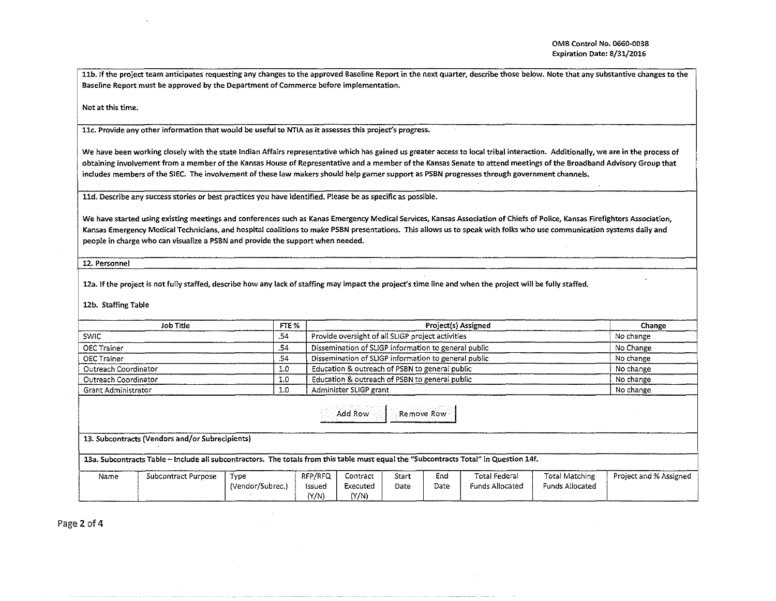11b. If the project team anticipates requesting any changes to the approved Baseline Report in the next quarter, describe those below. Note that any substantive changes to the Baseline Report must be approved by the Department of Commerce before implementation.

Not at this time.

llc. Provide any other information that would be useful to NTIA as it assesses this project's progress.

We have been working closely with the state Indian Affairs representative which has gained us greater access to local tribal interaction. Additionally, we are in the process of obtaining involvement from a member of the Kansas House of Representative and a member of the Kansas Senate to attend meetings of the Broadband Advisory Group that includes members of the SIEC. The involvement of these law makers should help garner support as PSBN progresses through government channels.

11d. Describe any success stories or best practices you have identified. Please be as specific as possible.

We have started using existing meetings and conferences such as Kanas Emergency Medical Services, Kansas Association of Chiefs of Police, Kansas Firefighters Association, Kansas Emergency Medical Technicians, and hospital coalitions to make PSBN presentations. This allows us to speak with folks who use communication systems daily and people in charge who can visualize a PSBN and provide the support when needed.

12. Personnel

12a. If the project is not fully staffed, describe how any lack of staffing may impact the project's time line and when the project will be fully staffed.

12b. Staffing Table

| Job Title            | FTE % | Project(s) Assigned                                  | Change    |  |
|----------------------|-------|------------------------------------------------------|-----------|--|
| <b>SWIC</b>          | .54   | Provide oversight of all SLIGP project activities    | No change |  |
| OEC Trainer          | .54   | Dissemination of SLIGP information to general public | No Change |  |
| OEC Trainer          | .54   | Dissemination of SLIGP information to general public | No change |  |
| Outreach Coordinator | 1.0   | Education & outreach of PSBN to general public       | No change |  |
| Outreach Coordinator | 1.0   | Education & outreach of PSBN to general public       | No change |  |
| Grant Administrator  | 1.0   | Administer SLIGP grant                               | No change |  |

Add Row | Remove Row

13. Subcontracts (Vendors and/or Subrecipients)

13a. Subcontracts Table -Include all subcontractors. The totals from this table must equal the "Subcontracts Total" in Question 14f.

| Name | Subcontract Purpose | Tvpe             | RFP/RFQ | Contract | Start | End               | Total Federal   | Total Matching  | Project and % Assigned |
|------|---------------------|------------------|---------|----------|-------|-------------------|-----------------|-----------------|------------------------|
|      |                     | (Vendor/Subrec.) | Issued  | Executed | Date  | Date              | Funds Allocated | Funds Allocated |                        |
|      |                     |                  | Y/N)    | (Y/N)    |       | ----------------- |                 |                 |                        |

Page 2 of 4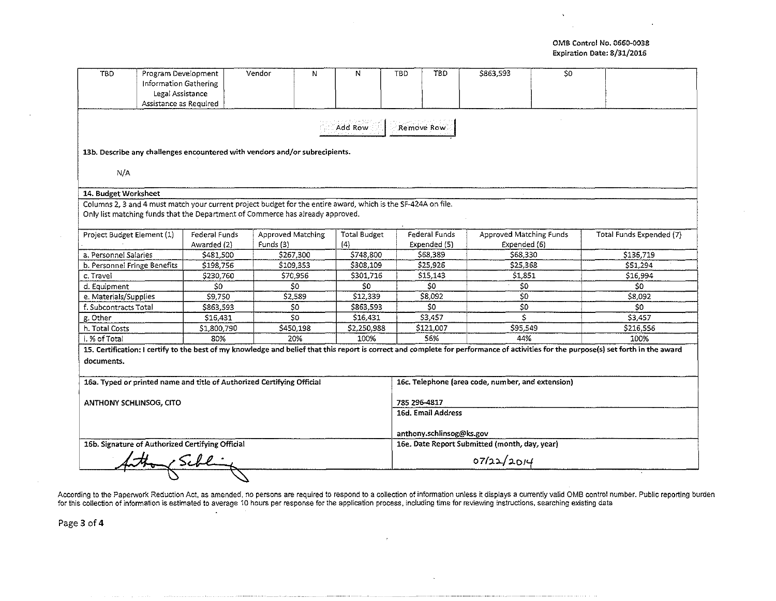## OMB Control No. 0660-0038 Expiration Date: 8/31/2016

 $\mathbf{v}$ 

| <b>TBD</b>                                                             | Program Development<br><b>Information Gathering</b><br>Legal Assistance<br>Assistance as Required |                                                                                                                                                                                                 | Vendor                         | N | N                          | <b>TBD</b>                                        | TBD                                           | \$863,593                               | S <sub>0</sub> |                                                                                                                                                                                      |  |  |
|------------------------------------------------------------------------|---------------------------------------------------------------------------------------------------|-------------------------------------------------------------------------------------------------------------------------------------------------------------------------------------------------|--------------------------------|---|----------------------------|---------------------------------------------------|-----------------------------------------------|-----------------------------------------|----------------|--------------------------------------------------------------------------------------------------------------------------------------------------------------------------------------|--|--|
|                                                                        |                                                                                                   |                                                                                                                                                                                                 |                                |   | Add Row                    | Remove Row                                        |                                               |                                         |                |                                                                                                                                                                                      |  |  |
|                                                                        |                                                                                                   | 13b. Describe any challenges encountered with vendors and/or subrecipients.                                                                                                                     |                                |   |                            |                                                   |                                               |                                         |                |                                                                                                                                                                                      |  |  |
| N/A                                                                    |                                                                                                   |                                                                                                                                                                                                 |                                |   |                            |                                                   |                                               |                                         |                |                                                                                                                                                                                      |  |  |
| 14. Budget Worksheet                                                   |                                                                                                   |                                                                                                                                                                                                 |                                |   |                            |                                                   |                                               |                                         |                |                                                                                                                                                                                      |  |  |
|                                                                        |                                                                                                   | Columns 2, 3 and 4 must match your current project budget for the entire award, which is the SF-424A on file.<br>Only list matching funds that the Department of Commerce has already approved. |                                |   |                            |                                                   |                                               |                                         |                |                                                                                                                                                                                      |  |  |
| Project Budget Element (1)                                             |                                                                                                   | Federal Funds<br>Awarded (2)                                                                                                                                                                    | Approved Matching<br>Funds (3) |   | <b>Total Budget</b><br>(4) | Federal Funds<br>Expended (5)                     |                                               | Approved Matching Funds<br>Expended (6) |                | Total Funds Expended (7)                                                                                                                                                             |  |  |
| a. Personnel Salaries                                                  |                                                                                                   | \$481,500                                                                                                                                                                                       | \$267,300                      |   | \$748,800                  | \$68,389                                          |                                               | \$68,330                                |                | \$136,719                                                                                                                                                                            |  |  |
|                                                                        | b. Personnel Fringe Benefits                                                                      | \$198,756                                                                                                                                                                                       | \$109.353                      |   | \$308,109                  | \$25,926                                          |                                               | \$25,368                                |                | \$51.294                                                                                                                                                                             |  |  |
| c. Travel                                                              |                                                                                                   | \$230,760                                                                                                                                                                                       | \$70,956                       |   | \$301,716                  | \$15,143                                          |                                               | \$1,851                                 |                | \$16,994                                                                                                                                                                             |  |  |
| d. Equipment                                                           |                                                                                                   | \$0                                                                                                                                                                                             | \$0                            |   | \$0                        | \$0                                               |                                               | 50                                      |                | \$0                                                                                                                                                                                  |  |  |
| e. Materials/Supplies                                                  |                                                                                                   | \$9,750                                                                                                                                                                                         | \$2,589                        |   | \$12,339                   | S8.092                                            |                                               | \$0                                     |                | \$8,092                                                                                                                                                                              |  |  |
| f. Subcontracts Total                                                  |                                                                                                   | \$863.593                                                                                                                                                                                       | \$0                            |   | \$863,593                  | \$0                                               |                                               | \$0                                     |                | \$O                                                                                                                                                                                  |  |  |
| g. Other                                                               |                                                                                                   | \$16,431                                                                                                                                                                                        | \$0                            |   | \$16,431                   | \$3,457                                           |                                               | Ś                                       |                | \$3,457                                                                                                                                                                              |  |  |
| h. Total Costs                                                         |                                                                                                   | \$1,800,790                                                                                                                                                                                     | \$450,198                      |   | \$2,250,988                | \$121,007                                         |                                               | \$95,549                                |                | \$216,556                                                                                                                                                                            |  |  |
| i. % of Total                                                          |                                                                                                   | 80%                                                                                                                                                                                             | 20%                            |   | 100%                       | 56%                                               |                                               | 44%                                     |                | 100%                                                                                                                                                                                 |  |  |
| documents.                                                             |                                                                                                   |                                                                                                                                                                                                 |                                |   |                            |                                                   |                                               |                                         |                | 15. Certification: I certify to the best of my knowledge and belief that this report is correct and complete for performance of activities for the purpose(s) set forth in the award |  |  |
| 16a. Typed or printed name and title of Authorized Certifying Official |                                                                                                   |                                                                                                                                                                                                 |                                |   |                            | 16c. Telephone (area code, number, and extension) |                                               |                                         |                |                                                                                                                                                                                      |  |  |
| ANTHONY SCHLINSOG, CITO                                                |                                                                                                   |                                                                                                                                                                                                 |                                |   |                            | 785 296-4817<br>16d. Email Address                |                                               |                                         |                |                                                                                                                                                                                      |  |  |
|                                                                        |                                                                                                   |                                                                                                                                                                                                 |                                |   |                            | anthony.schlinsog@ks.gov                          |                                               |                                         |                |                                                                                                                                                                                      |  |  |
| 16b. Signature of Authorized Certifying Official                       |                                                                                                   |                                                                                                                                                                                                 |                                |   |                            |                                                   | 16e. Date Report Submitted (month, day, year) |                                         |                |                                                                                                                                                                                      |  |  |
|                                                                        |                                                                                                   |                                                                                                                                                                                                 |                                |   |                            |                                                   | 07/22/2014                                    |                                         |                |                                                                                                                                                                                      |  |  |

According to the Paperwork Reduction Act, as amended, no persons are required to respond to a collection of information unless it displays a currently valid OMB control number. Public reporting burden for this collection of information is estimated to average 10 hours per response for the application process, including time for reviewing instructions, searching existing data

Page 3 of 4